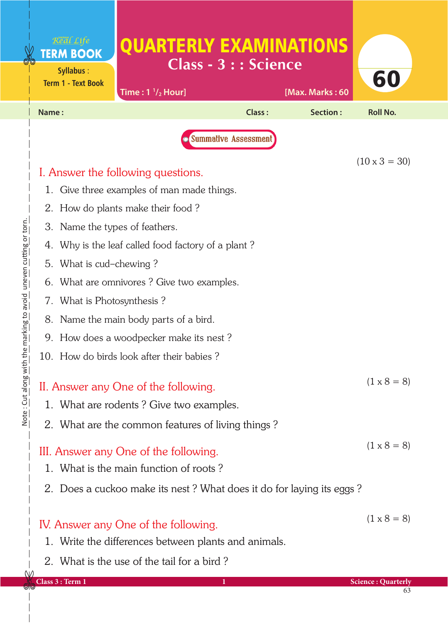|                                              | Real Life<br><b>TERM BOOK</b><br>Syllabus:<br><b>Term 1 - Text Book</b> | QUARTERLY EXAMINATIONS<br>Time: $1 \frac{1}{2}$ Hour]                                        | <b>Class - 3 : : Science</b>  | [Max. Marks: 60 | 60                   |  |
|----------------------------------------------|-------------------------------------------------------------------------|----------------------------------------------------------------------------------------------|-------------------------------|-----------------|----------------------|--|
|                                              | Name:                                                                   |                                                                                              | Class:                        | Section:        | <b>Roll No.</b>      |  |
|                                              |                                                                         |                                                                                              | <b>O</b> Summative Assessment |                 | $(10 \times 3 = 30)$ |  |
|                                              |                                                                         | I. Answer the following questions.                                                           |                               |                 |                      |  |
|                                              |                                                                         | 1. Give three examples of man made things.                                                   |                               |                 |                      |  |
|                                              |                                                                         | 2. How do plants make their food?                                                            |                               |                 |                      |  |
|                                              | 3. Name the types of feathers.                                          |                                                                                              |                               |                 |                      |  |
|                                              | 4.                                                                      | Why is the leaf called food factory of a plant?                                              |                               |                 |                      |  |
| 5.<br>What is cud-chewing?                   |                                                                         |                                                                                              |                               |                 |                      |  |
| What are omnivores? Give two examples.<br>6. |                                                                         |                                                                                              |                               |                 |                      |  |
|                                              | 7. What is Photosynthesis?                                              |                                                                                              |                               |                 |                      |  |
|                                              | Name the main body parts of a bird.<br>8.                               |                                                                                              |                               |                 |                      |  |
|                                              | 9. How does a woodpecker make its nest?                                 |                                                                                              |                               |                 |                      |  |
|                                              | 10. How do birds look after their babies?                               |                                                                                              |                               |                 |                      |  |
|                                              |                                                                         | II. Answer any One of the following.                                                         |                               |                 | $(1 \times 8 = 8)$   |  |
|                                              |                                                                         | 1. What are rodents? Give two examples.                                                      |                               |                 |                      |  |
|                                              |                                                                         | 2. What are the common features of living things?                                            |                               |                 |                      |  |
|                                              |                                                                         | III. Answer any One of the following.                                                        |                               |                 | $(1 \times 8 = 8)$   |  |
|                                              |                                                                         | 1. What is the main function of roots?                                                       |                               |                 |                      |  |
|                                              |                                                                         | 2. Does a cuckoo make its nest? What does it do for laying its eggs?                         |                               |                 |                      |  |
|                                              |                                                                         | IV. Answer any One of the following.<br>1. Write the differences between plants and animals. |                               |                 | $(1 \times 8 = 8)$   |  |
|                                              |                                                                         | 2. What is the use of the tail for a bird?                                                   |                               |                 |                      |  |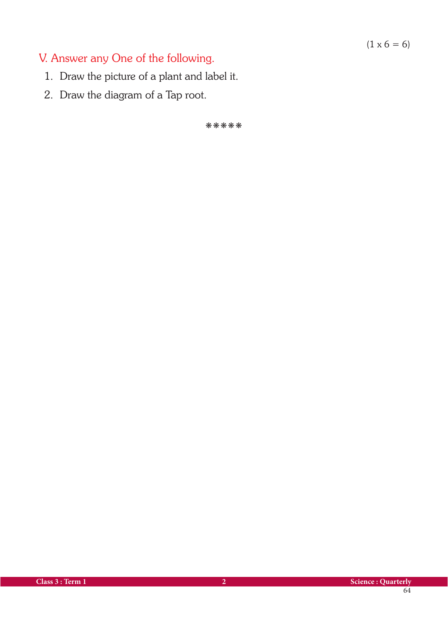## $(1 \times 6 = 6)$

## V. Answer any One of the following.

- 1. Draw the picture of a plant and label it.
- 2. Draw the diagram of a Tap root.

kkkkk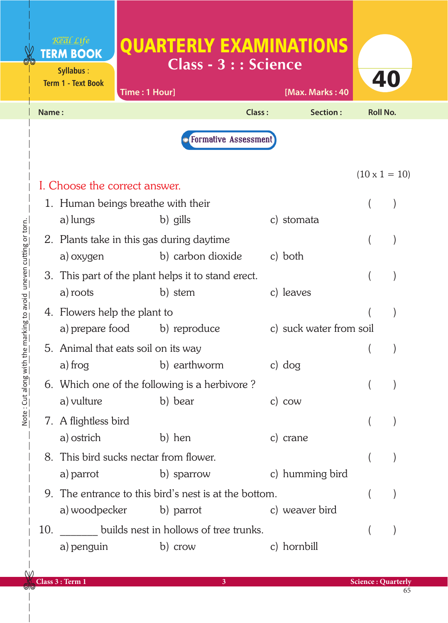|                                              |                                    | Real Life<br><b>TERM BOOK</b><br>Syllabus:<br><b>Term 1 - Text Book</b> | <b>QUARTERLY EXAMINATIONS</b><br>Time: 1 Hour]                 | <b>Class - 3 : : Science</b> | [Max. Marks: 40         | 40                        |  |
|----------------------------------------------|------------------------------------|-------------------------------------------------------------------------|----------------------------------------------------------------|------------------------------|-------------------------|---------------------------|--|
|                                              | Name:                              |                                                                         |                                                                | Class:                       | Section:                | <b>Roll No.</b>           |  |
|                                              | <b>O</b> Formative Assessment      |                                                                         |                                                                |                              |                         |                           |  |
|                                              | I. Choose the correct answer.      |                                                                         |                                                                |                              | $(10 \times 1 = 10)$    |                           |  |
|                                              | 1. Human beings breathe with their |                                                                         |                                                                |                              |                         |                           |  |
|                                              |                                    | a) lungs                                                                | b) gills                                                       |                              | c) stomata              |                           |  |
| the marking to avoid uneven cutting or torn. |                                    | a) oxygen                                                               | 2. Plants take in this gas during daytime<br>b) carbon dioxide |                              | c) both                 |                           |  |
|                                              |                                    | 3. This part of the plant helps it to stand erect.                      |                                                                |                              |                         |                           |  |
|                                              |                                    | a) roots                                                                | b) stem                                                        |                              | c) leaves               |                           |  |
|                                              |                                    | 4. Flowers help the plant to                                            |                                                                |                              |                         |                           |  |
|                                              |                                    | a) prepare food                                                         | b) reproduce                                                   |                              | c) suck water from soil |                           |  |
|                                              |                                    | 5. Animal that eats soil on its way                                     |                                                                |                              |                         |                           |  |
|                                              |                                    | a) frog                                                                 | b) earthworm                                                   |                              | c) dog                  |                           |  |
| Note: Cut along wit                          |                                    |                                                                         | 6. Which one of the following is a herbivore?                  |                              |                         |                           |  |
|                                              |                                    | a) vulture                                                              | b) bear                                                        |                              | $c)$ cow                |                           |  |
|                                              |                                    | 7. A flightless bird                                                    |                                                                |                              |                         |                           |  |
|                                              |                                    | a) ostrich                                                              | b) hen                                                         |                              | c) crane                |                           |  |
|                                              |                                    | a) parrot                                                               | 8. This bird sucks nectar from flower.<br>b) sparrow           |                              | c) humming bird         |                           |  |
|                                              |                                    | 9. The entrance to this bird's nest is at the bottom.                   |                                                                |                              |                         |                           |  |
|                                              |                                    |                                                                         | a) woodpecker b) parrot                                        |                              | c) weaver bird          |                           |  |
|                                              | 10.                                |                                                                         | builds nest in hollows of tree trunks.                         |                              |                         |                           |  |
|                                              |                                    | a) penguin                                                              | b) crow                                                        |                              | c) hornbill             |                           |  |
|                                              |                                    |                                                                         |                                                                |                              |                         |                           |  |
|                                              |                                    | Class 3 : Term 1                                                        |                                                                | 3                            |                         | <b>Science: Quarterly</b> |  |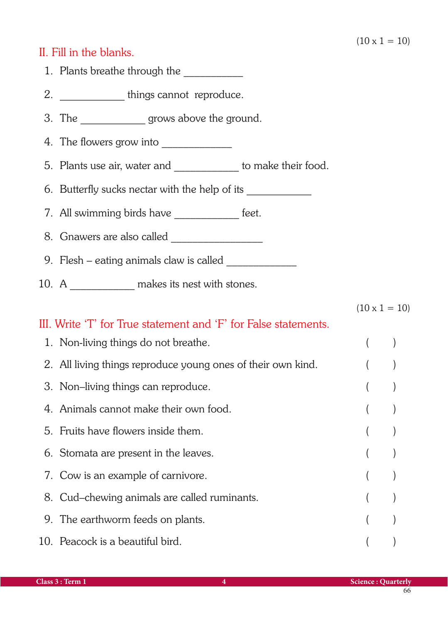## II. Fill in the blanks.

| 1. Plants breathe through the                                                    |         |                      |  |
|----------------------------------------------------------------------------------|---------|----------------------|--|
| 2. ________________ things cannot reproduce.                                     |         |                      |  |
| 3. The ________________ grows above the ground.                                  |         |                      |  |
|                                                                                  |         |                      |  |
| 5. Plants use air, water and _____________ to make their food.                   |         |                      |  |
| 6. Butterfly sucks nectar with the help of its _________________________________ |         |                      |  |
| 7. All swimming birds have ______________ feet.                                  |         |                      |  |
|                                                                                  |         |                      |  |
|                                                                                  |         |                      |  |
| 10. A _______________ makes its nest with stones.                                |         |                      |  |
|                                                                                  |         | $(10 \times 1 = 10)$ |  |
| III. Write 'T' for True statement and 'F' for False statements.                  |         |                      |  |
| 1. Non-living things do not breathe.                                             | $($ $)$ |                      |  |
| 2. All living things reproduce young ones of their own kind.                     |         |                      |  |
| 3. Non-living things can reproduce.                                              |         |                      |  |
| 4. Animals cannot make their own food                                            |         |                      |  |
| 5. Fruits have flowers inside them.                                              |         |                      |  |
| 6. Stomata are present in the leaves.                                            |         |                      |  |
| 7. Cow is an example of carnivore.                                               |         |                      |  |
| 8. Cud–chewing animals are called ruminants.                                     |         |                      |  |
| 9. The earthworm feeds on plants.                                                |         |                      |  |
| 10. Peacock is a beautiful bird.                                                 |         |                      |  |